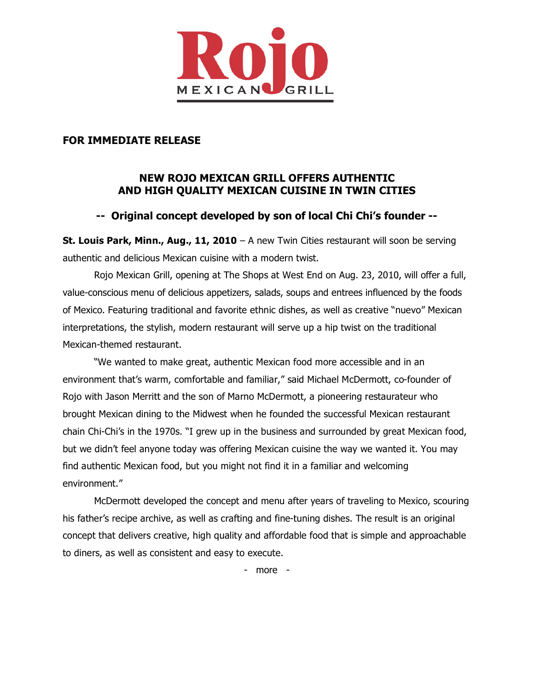

### **FOR IMMEDIATE RELEASE**

# **NEW ROJO MEXICAN GRILL OFFERS AUTHENTIC AND HIGH QUALITY MEXICAN CUISINE IN TWIN CITIES**

## **-- Original concept developed by son of local Chi Chi's founder --**

**St. Louis Park, Minn., Aug., 11, 2010** – A new Twin Cities restaurant will soon be serving authentic and delicious Mexican cuisine with a modern twist.

Rojo Mexican Grill, opening at The Shops at West End on Aug. 23, 2010, will offer a full, value-conscious menu of delicious appetizers, salads, soups and entrees influenced by the foods of Mexico. Featuring traditional and favorite ethnic dishes, as well as creative "nuevo" Mexican interpretations, the stylish, modern restaurant will serve up a hip twist on the traditional Mexican-themed restaurant.

"We wanted to make great, authentic Mexican food more accessible and in an environment that's warm, comfortable and familiar," said Michael McDermott, co-founder of Rojo with Jason Merritt and the son of Marno McDermott, a pioneering restaurateur who brought Mexican dining to the Midwest when he founded the successful Mexican restaurant chain Chi-Chi's in the 1970s. "I grew up in the business and surrounded by great Mexican food, but we didn't feel anyone today was offering Mexican cuisine the way we wanted it. You may find authentic Mexican food, but you might not find it in a familiar and welcoming environment."

McDermott developed the concept and menu after years of traveling to Mexico, scouring his father's recipe archive, as well as crafting and fine-tuning dishes. The result is an original concept that delivers creative, high quality and affordable food that is simple and approachable to diners, as well as consistent and easy to execute.

- more -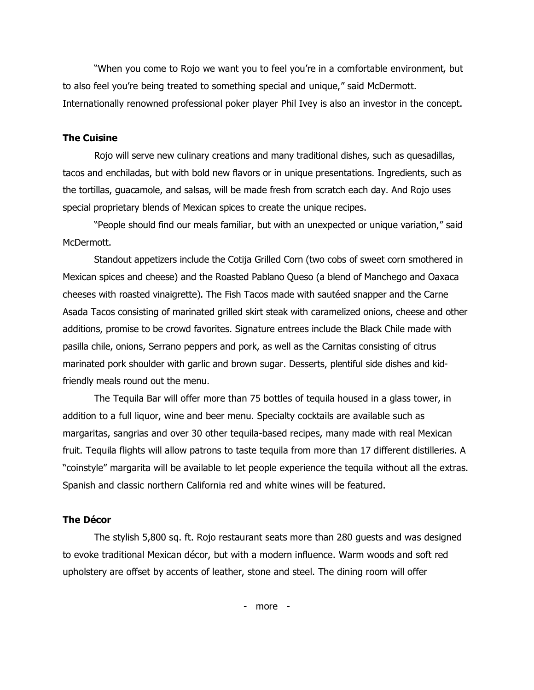"When you come to Rojo we want you to feel you're in a comfortable environment, but to also feel you're being treated to something special and unique," said McDermott. Internationally renowned professional poker player Phil Ivey is also an investor in the concept.

### **The Cuisine**

Rojo will serve new culinary creations and many traditional dishes, such as quesadillas, tacos and enchiladas, but with bold new flavors or in unique presentations. Ingredients, such as the tortillas, guacamole, and salsas, will be made fresh from scratch each day. And Rojo uses special proprietary blends of Mexican spices to create the unique recipes.

"People should find our meals familiar, but with an unexpected or unique variation," said McDermott.

Standout appetizers include the Cotija Grilled Corn (two cobs of sweet corn smothered in Mexican spices and cheese) and the Roasted Pablano Queso (a blend of Manchego and Oaxaca cheeses with roasted vinaigrette). The Fish Tacos made with sautéed snapper and the Carne Asada Tacos consisting of marinated grilled skirt steak with caramelized onions, cheese and other additions, promise to be crowd favorites. Signature entrees include the Black Chile made with pasilla chile, onions, Serrano peppers and pork, as well as the Carnitas consisting of citrus marinated pork shoulder with garlic and brown sugar. Desserts, plentiful side dishes and kidfriendly meals round out the menu.

The Tequila Bar will offer more than 75 bottles of tequila housed in a glass tower, in addition to a full liquor, wine and beer menu. Specialty cocktails are available such as margaritas, sangrias and over 30 other tequila-based recipes, many made with real Mexican fruit. Tequila flights will allow patrons to taste tequila from more than 17 different distilleries. A "coinstyle" margarita will be available to let people experience the tequila without all the extras. Spanish and classic northern California red and white wines will be featured.

### **The Décor**

The stylish 5,800 sq. ft. Rojo restaurant seats more than 280 guests and was designed to evoke traditional Mexican décor, but with a modern influence. Warm woods and soft red upholstery are offset by accents of leather, stone and steel. The dining room will offer

- more -